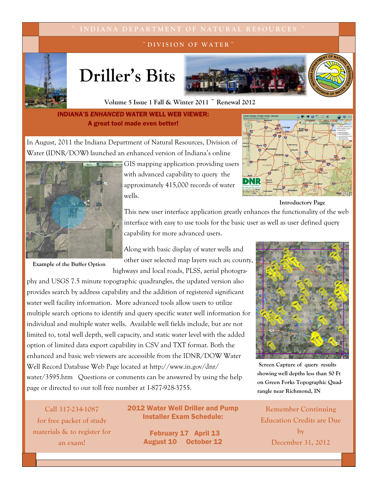#### DIVISION OF WATER



# Driller's Bits



#### Volume 5 Issue 1 Fall & Winter 2011 ~ Renewal 2012

### INDIANA'S ENHANCED WATER WELL WEB VIEWER: A great tool made even better!



Introductory Page

In August, 2011 the Indiana Department of Natural Resources, Division of Water (IDNR/DOW) launched an enhanced version of Indiana's online



Example of the Buffer Option

**GIS mapping application providing users** with advanced capability to query the approximately 415,000 records of water wells.

> This new user interface application greatly enhances the functionality of the web interface with easy to use tools for the basic user as well as user defined query capability for more advanced users.

Along with basic display of water wells and other user selected map layers such as; county, highways and local roads, PLSS, aerial photogra-

phy and USGS 7.5 minute topographic quadrangles, the updated version also provides search by address capability and the addition of registered significant water well facility information. More advanced tools allow users to utilize multiple search options to identify and query specific water well information for individual and multiple water wells. Available well fields include, but are not limited to, total well depth, well capacity, and static water level with the added option of limited data export capability in CSV and TXT format. Both the enhanced and basic web viewers are accessible from the IDNR/DOW Water Well Record Database Web Page located at http://www.in.gov/dnr/ water/3595.htm Questions or comments can be answered by using the help page or directed to our toll free number at 1-877-928-3755.

Call 317-234-1087 for free packet of study materials & to register for an exam!

#### 2012 Water Well Driller and Pump Installer Exam Schedule:

February 17 April 13 August 10 October 12



 Screen Capture of query results showing well depths less than 50 Ft on Green Forks Topographic Quadrangle near Richmond, IN

Remember Continuing Education Credits are Due by December 31, 2012